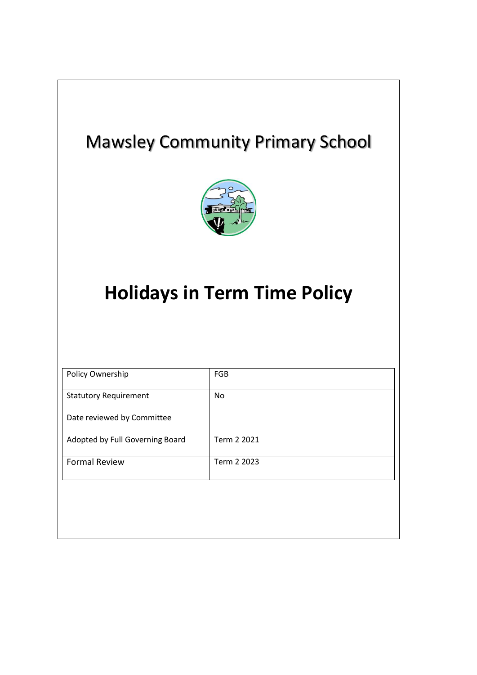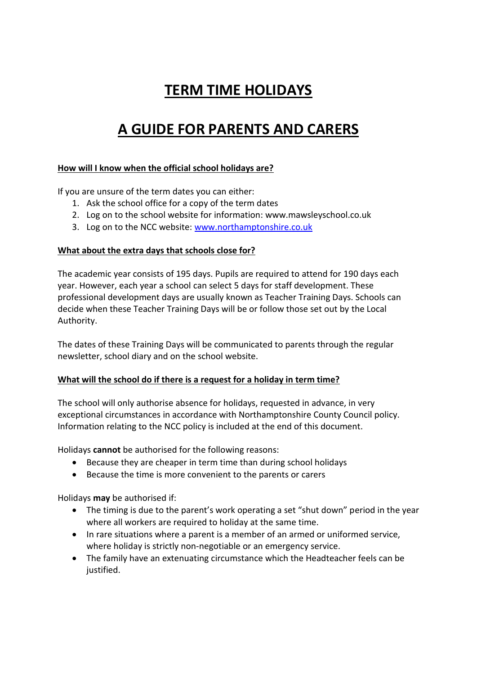# **TERM TIME HOLIDAYS**

## **A GUIDE FOR PARENTS AND CARERS**

#### **How will I know when the official school holidays are?**

If you are unsure of the term dates you can either:

- 1. Ask the school office for a copy of the term dates
- 2. Log on to the school website for information: www.mawsleyschool.co.uk
- 3. Log on to the NCC website: [www.northamptonshire.co.uk](http://www.northamptonshire.co.uk/)

#### **What about the extra days that schools close for?**

The academic year consists of 195 days. Pupils are required to attend for 190 days each year. However, each year a school can select 5 days for staff development. These professional development days are usually known as Teacher Training Days. Schools can decide when these Teacher Training Days will be or follow those set out by the Local Authority.

The dates of these Training Days will be communicated to parents through the regular newsletter, school diary and on the school website.

#### **What will the school do if there is a request for a holiday in term time?**

The school will only authorise absence for holidays, requested in advance, in very exceptional circumstances in accordance with Northamptonshire County Council policy. Information relating to the NCC policy is included at the end of this document.

Holidays **cannot** be authorised for the following reasons:

- Because they are cheaper in term time than during school holidays
- Because the time is more convenient to the parents or carers

Holidays **may** be authorised if:

- The timing is due to the parent's work operating a set "shut down" period in the year where all workers are required to holiday at the same time.
- In rare situations where a parent is a member of an armed or uniformed service, where holiday is strictly non-negotiable or an emergency service.
- The family have an extenuating circumstance which the Headteacher feels can be justified.